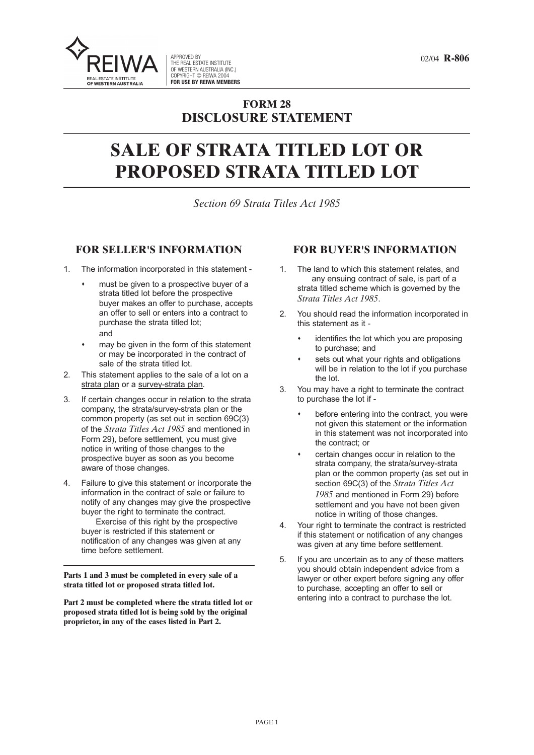02/04 **R-806** APPROVED BY THE REAL ESTATE INSTITUTE OF WESTERN AUSTRALIA (INC.) COPYRIGHT © REIWA 2004 **FOR USE BY REIWA MEMBERS**

# **FORM 28 DISCLOSURE STATEMENT**

# **SALE OF STRATA TITLED LOT OR PROPOSED STRATA TITLED LOT**

*Section 69 Strata Titles Act 1985*

#### **FOR SELLER'S INFORMATION**

- **1. The information incorporated in this statement -**
	- **must be given to a prospective buyer of a strata titled lot before the prospective buyer makes an offer to purchase, accepts an offer to sell or enters into a contract to purchase the strata titled lot; and**
	- **may be given in the form of this statement or may be incorporated in the contract of sale of the strata titled lot.**
- **2. This statement applies to the sale of a lot on a strata plan or a survey-strata plan.**
- **3. If certain changes occur in relation to the strata company, the strata/survey-strata plan or the common property (as set out in section 69C(3) of the** *Strata Titles Act 1985* **and mentioned in Form 29), before settlement, you must give notice in writing of those changes to the prospective buyer as soon as you become aware of those changes.**
- **4. Failure to give this statement or incorporate the information in the contract of sale or failure to notify of any changes may give the prospective buyer the right to terminate the contract.**

**Exercise of this right by the prospective buyer is restricted if this statement or notification of any changes was given at any time before settlement.**

**Parts 1 and 3 must be completed in every sale of a strata titled lot or proposed strata titled lot.**

**Part 2 must be completed where the strata titled lot or proposed strata titled lot is being sold by the original proprietor, in any of the cases listed in Part 2.**

#### **FOR BUYER'S INFORMATION**

- **1. The land to which this statement relates, and any ensuing contract of sale, is part of a strata titled scheme which is governed by the** *Strata Titles Act 1985***.**
- **2. You should read the information incorporated in this statement as it -**
	- **identifies the lot which you are proposing to purchase; and**
	- **sets out what your rights and obligations will be in relation to the lot if you purchase the lot.**
- **3. You may have a right to terminate the contract to purchase the lot if -**
	- **before entering into the contract, you were not given this statement or the information in this statement was not incorporated into the contract; or**
	- **certain changes occur in relation to the strata company, the strata/survey-strata plan or the common property (as set out in section 69C(3) of the** *Strata Titles Act 1985* **and mentioned in Form 29) before settlement and you have not been given notice in writing of those changes.**
- **4. Your right to terminate the contract is restricted if this statement or notification of any changes was given at any time before settlement.**
- **5. If you are uncertain as to any of these matters you should obtain independent advice from a lawyer or other expert before signing any offer to purchase, accepting an offer to sell or entering into a contract to purchase the lot.**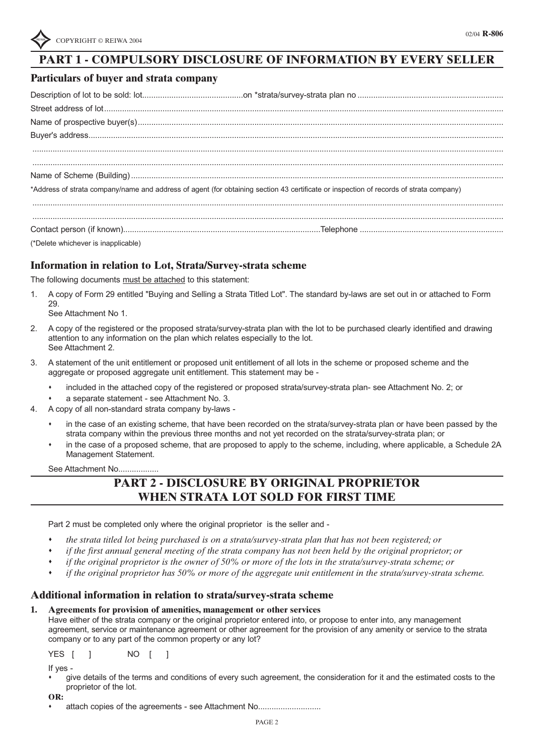### **PART 1 - COMPULSORY DISCLOSURE OF INFORMATION BY EVERY SELLER**

#### **Particulars of buyer and strata company**

| *Address of strata company/name and address of agent (for obtaining section 43 certificate or inspection of records of strata company)                                                                                            |  |
|-----------------------------------------------------------------------------------------------------------------------------------------------------------------------------------------------------------------------------------|--|
|                                                                                                                                                                                                                                   |  |
|                                                                                                                                                                                                                                   |  |
| $\mathcal{A}$ and the contract of the contract of the contract of the contract of the contract of the contract of the contract of the contract of the contract of the contract of the contract of the contract of the contract of |  |

**(\*Delete whichever is inapplicable)**

#### **Information in relation to Lot, Strata/Survey-strata scheme**

**The following documents must be attached to this statement:**

- 1. A copy of Form 29 entitled "Buying and Selling a Strata Titled Lot". The standard by-laws are set out in or attached to Form **29.**
	- **See Attachment No 1.**
- 2. A copy of the registered or the proposed strata/survey-strata plan with the lot to be purchased clearly identified and drawing **attention to any information on the plan which relates especially to the lot. See Attachment 2.**
- 3. A statement of the unit entitlement or proposed unit entitlement of all lots in the scheme or proposed scheme and the **aggregate or proposed aggregate unit entitlement. This statement may be -**
	- included in the attached copy of the registered or proposed strata/survey-strata plan- see Attachment No. 2; or
	- **a separate statement - see Attachment No. 3.**
- **4. A copy of all non-standard strata company by-laws -**
	- in the case of an existing scheme, that have been recorded on the strata/survey-strata plan or have been passed by the **strata company within the previous three months and not yet recorded on the strata/survey-strata plan; or**
	- in the case of a proposed scheme, that are proposed to apply to the scheme, including, where applicable, a Schedule 2A **Management Statement.**

**See Attachment No..................**

### **PART 2 - DISCLOSURE BY ORIGINAL PROPRIETOR WHEN STRATA LOT SOLD FOR FIRST TIME**

**Part 2 must be completed only where the original proprietor is the seller and -**

- *the strata titled lot being purchased is on a strata/survey-strata plan that has not been registered; or*
- if the first annual general meeting of the strata company has not been held by the original proprietor; or
- if the original proprietor is the owner of  $50\%$  or more of the lots in the strata/survey-strata scheme; or
- if the original proprietor has 50% or more of the aggregate unit entitlement in the strata/survey-strata scheme.

#### **Additional information in relation to strata/survey-strata scheme**

**1. Agreements for provision of amenities, management or other services**

Have either of the strata company or the original proprietor entered into, or propose to enter into, any management agreement, service or maintenance agreement or other agreement for the provision of any amenity or service to the strata **company or to any part of the common property or any lot?**

**YES [ ] NO [ ]**

**If yes -**

- give details of the terms and conditions of every such agreement, the consideration for it and the estimated costs to the **proprietor of the lot.**
- **OR:**
	- **attach copies of the agreements - see Attachment No............................**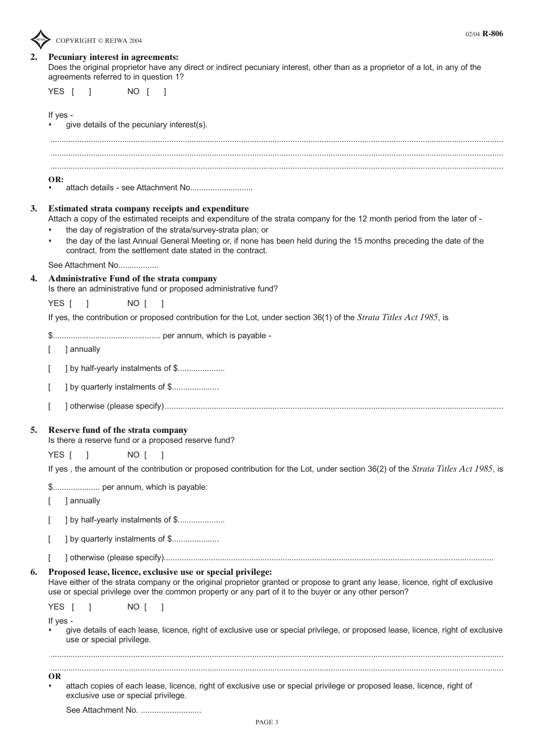

02/04 **R-806**